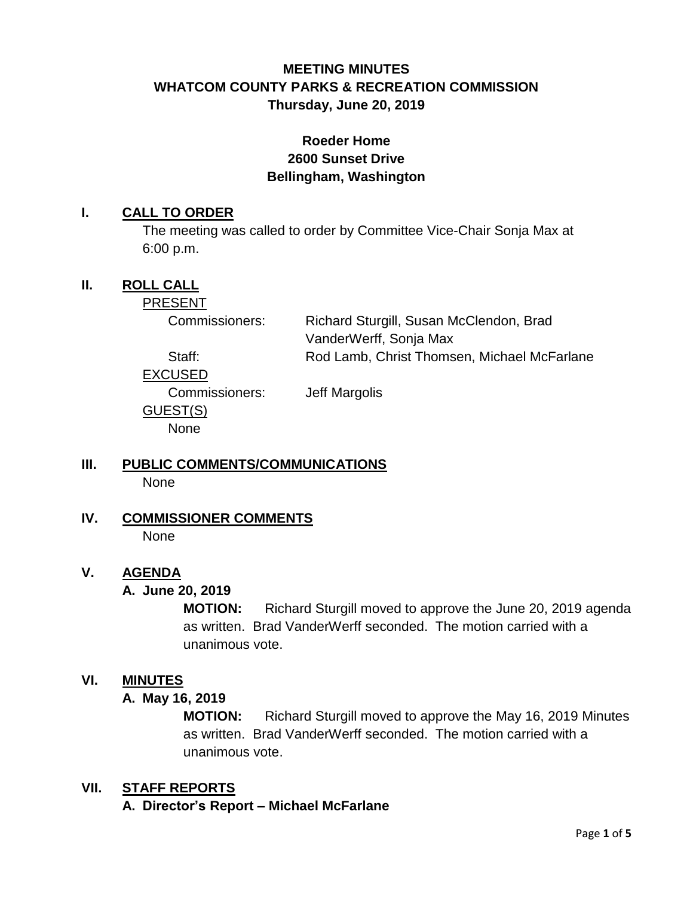# **MEETING MINUTES WHATCOM COUNTY PARKS & RECREATION COMMISSION Thursday, June 20, 2019**

## **Roeder Home 2600 Sunset Drive Bellingham, Washington**

#### **I. CALL TO ORDER**

The meeting was called to order by Committee Vice-Chair Sonja Max at 6:00 p.m.

#### **II. ROLL CALL**

PRESENT

Commissioners: Richard Sturgill, Susan McClendon, Brad VanderWerff, Sonja Max

Staff: Rod Lamb, Christ Thomsen, Michael McFarlane

EXCUSED Commissioners: Jeff Margolis GUEST(S) None

#### **III. PUBLIC COMMENTS/COMMUNICATIONS** None

**IV. COMMISSIONER COMMENTS** None

### **V. AGENDA**

#### **A. June 20, 2019**

**MOTION:** Richard Sturgill moved to approve the June 20, 2019 agenda as written. Brad VanderWerff seconded. The motion carried with a unanimous vote.

#### **VI. MINUTES**

**A. May 16, 2019**

**MOTION:** Richard Sturgill moved to approve the May 16, 2019 Minutes as written. Brad VanderWerff seconded. The motion carried with a unanimous vote.

### **VII. STAFF REPORTS**

**A. Director's Report – Michael McFarlane**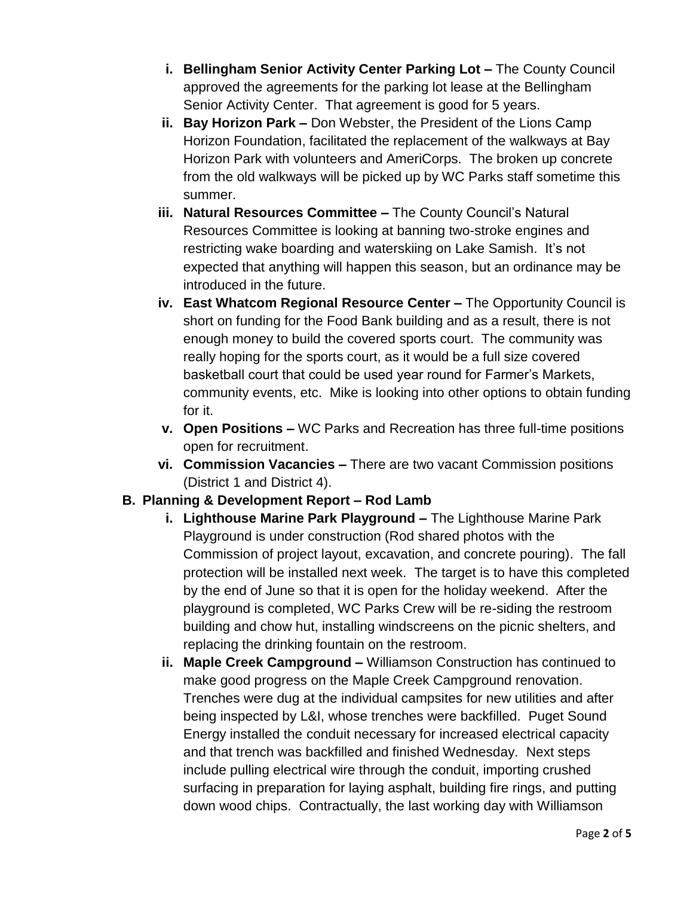- **i. Bellingham Senior Activity Center Parking Lot –** The County Council approved the agreements for the parking lot lease at the Bellingham Senior Activity Center. That agreement is good for 5 years.
- **ii. Bay Horizon Park –** Don Webster, the President of the Lions Camp Horizon Foundation, facilitated the replacement of the walkways at Bay Horizon Park with volunteers and AmeriCorps. The broken up concrete from the old walkways will be picked up by WC Parks staff sometime this summer.
- **iii. Natural Resources Committee –** The County Council's Natural Resources Committee is looking at banning two-stroke engines and restricting wake boarding and waterskiing on Lake Samish. It's not expected that anything will happen this season, but an ordinance may be introduced in the future.
- **iv. East Whatcom Regional Resource Center –** The Opportunity Council is short on funding for the Food Bank building and as a result, there is not enough money to build the covered sports court. The community was really hoping for the sports court, as it would be a full size covered basketball court that could be used year round for Farmer's Markets, community events, etc. Mike is looking into other options to obtain funding for it.
- **v. Open Positions –** WC Parks and Recreation has three full-time positions open for recruitment.
- **vi. Commission Vacancies –** There are two vacant Commission positions (District 1 and District 4).

# **B. Planning & Development Report – Rod Lamb**

- **i. Lighthouse Marine Park Playground –** The Lighthouse Marine Park Playground is under construction (Rod shared photos with the Commission of project layout, excavation, and concrete pouring). The fall protection will be installed next week. The target is to have this completed by the end of June so that it is open for the holiday weekend. After the playground is completed, WC Parks Crew will be re-siding the restroom building and chow hut, installing windscreens on the picnic shelters, and replacing the drinking fountain on the restroom.
- **ii. Maple Creek Campground –** Williamson Construction has continued to make good progress on the Maple Creek Campground renovation. Trenches were dug at the individual campsites for new utilities and after being inspected by L&I, whose trenches were backfilled. Puget Sound Energy installed the conduit necessary for increased electrical capacity and that trench was backfilled and finished Wednesday. Next steps include pulling electrical wire through the conduit, importing crushed surfacing in preparation for laying asphalt, building fire rings, and putting down wood chips. Contractually, the last working day with Williamson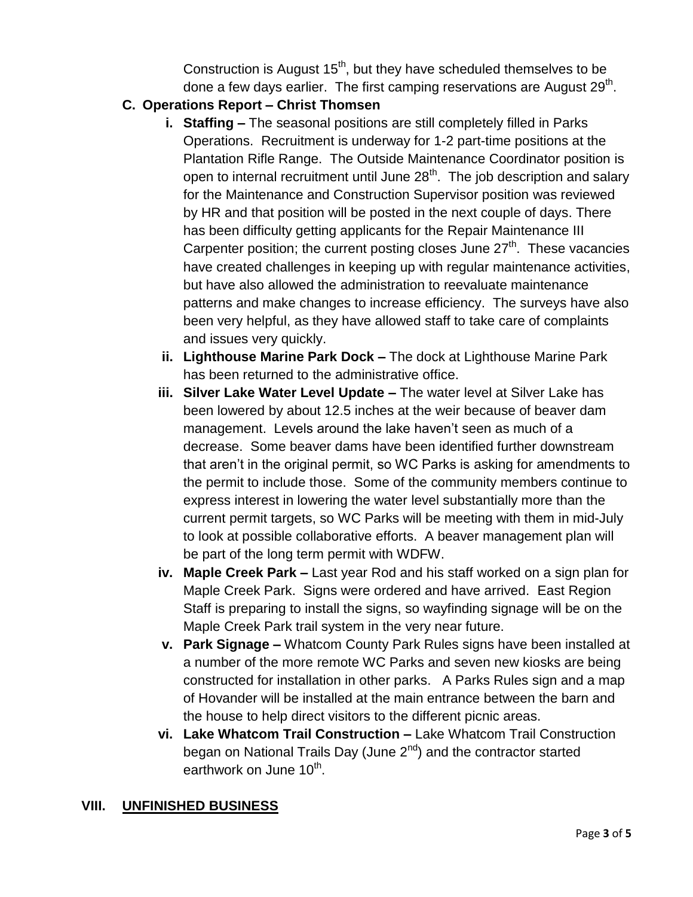Construction is August  $15<sup>th</sup>$ , but they have scheduled themselves to be done a few days earlier. The first camping reservations are August 29<sup>th</sup>.

## **C. Operations Report – Christ Thomsen**

- **i. Staffing –** The seasonal positions are still completely filled in Parks Operations. Recruitment is underway for 1-2 part-time positions at the Plantation Rifle Range. The Outside Maintenance Coordinator position is open to internal recruitment until June  $28<sup>th</sup>$ . The job description and salary for the Maintenance and Construction Supervisor position was reviewed by HR and that position will be posted in the next couple of days. There has been difficulty getting applicants for the Repair Maintenance III Carpenter position; the current posting closes June  $27<sup>th</sup>$ . These vacancies have created challenges in keeping up with regular maintenance activities, but have also allowed the administration to reevaluate maintenance patterns and make changes to increase efficiency. The surveys have also been very helpful, as they have allowed staff to take care of complaints and issues very quickly.
- **ii. Lighthouse Marine Park Dock –** The dock at Lighthouse Marine Park has been returned to the administrative office.
- **iii. Silver Lake Water Level Update –** The water level at Silver Lake has been lowered by about 12.5 inches at the weir because of beaver dam management. Levels around the lake haven't seen as much of a decrease. Some beaver dams have been identified further downstream that aren't in the original permit, so WC Parks is asking for amendments to the permit to include those. Some of the community members continue to express interest in lowering the water level substantially more than the current permit targets, so WC Parks will be meeting with them in mid-July to look at possible collaborative efforts. A beaver management plan will be part of the long term permit with WDFW.
- **iv. Maple Creek Park –** Last year Rod and his staff worked on a sign plan for Maple Creek Park. Signs were ordered and have arrived. East Region Staff is preparing to install the signs, so wayfinding signage will be on the Maple Creek Park trail system in the very near future.
- **v. Park Signage –** Whatcom County Park Rules signs have been installed at a number of the more remote WC Parks and seven new kiosks are being constructed for installation in other parks. A Parks Rules sign and a map of Hovander will be installed at the main entrance between the barn and the house to help direct visitors to the different picnic areas.
- **vi. Lake Whatcom Trail Construction –** Lake Whatcom Trail Construction began on National Trails Day (June  $2<sup>nd</sup>$ ) and the contractor started earthwork on June 10<sup>th</sup>.

### **VIII. UNFINISHED BUSINESS**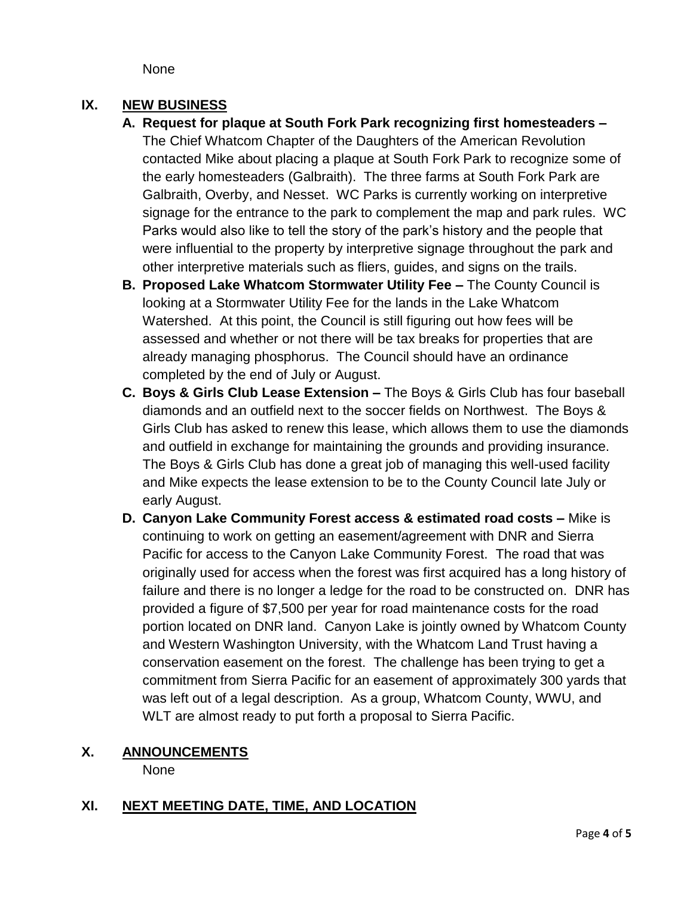None

## **IX. NEW BUSINESS**

- **A. Request for plaque at South Fork Park recognizing first homesteaders –**
	- The Chief Whatcom Chapter of the Daughters of the American Revolution contacted Mike about placing a plaque at South Fork Park to recognize some of the early homesteaders (Galbraith). The three farms at South Fork Park are Galbraith, Overby, and Nesset. WC Parks is currently working on interpretive signage for the entrance to the park to complement the map and park rules. WC Parks would also like to tell the story of the park's history and the people that were influential to the property by interpretive signage throughout the park and other interpretive materials such as fliers, guides, and signs on the trails.
- **B. Proposed Lake Whatcom Stormwater Utility Fee –** The County Council is looking at a Stormwater Utility Fee for the lands in the Lake Whatcom Watershed. At this point, the Council is still figuring out how fees will be assessed and whether or not there will be tax breaks for properties that are already managing phosphorus. The Council should have an ordinance completed by the end of July or August.
- **C. Boys & Girls Club Lease Extension –** The Boys & Girls Club has four baseball diamonds and an outfield next to the soccer fields on Northwest. The Boys & Girls Club has asked to renew this lease, which allows them to use the diamonds and outfield in exchange for maintaining the grounds and providing insurance. The Boys & Girls Club has done a great job of managing this well-used facility and Mike expects the lease extension to be to the County Council late July or early August.
- **D. Canyon Lake Community Forest access & estimated road costs –** Mike is continuing to work on getting an easement/agreement with DNR and Sierra Pacific for access to the Canyon Lake Community Forest. The road that was originally used for access when the forest was first acquired has a long history of failure and there is no longer a ledge for the road to be constructed on. DNR has provided a figure of \$7,500 per year for road maintenance costs for the road portion located on DNR land. Canyon Lake is jointly owned by Whatcom County and Western Washington University, with the Whatcom Land Trust having a conservation easement on the forest. The challenge has been trying to get a commitment from Sierra Pacific for an easement of approximately 300 yards that was left out of a legal description. As a group, Whatcom County, WWU, and WLT are almost ready to put forth a proposal to Sierra Pacific.

### **X. ANNOUNCEMENTS**

None

# **XI. NEXT MEETING DATE, TIME, AND LOCATION**